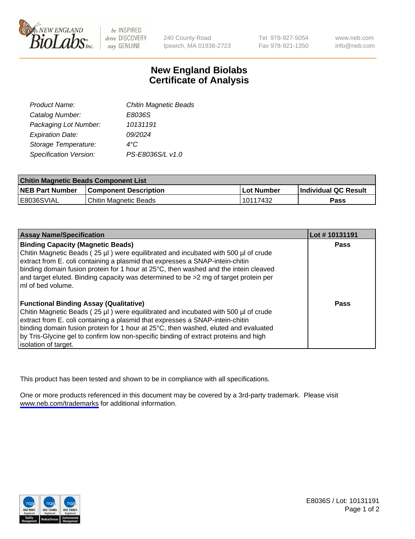

be INSPIRED drive DISCOVERY stay GENUINE

240 County Road Ipswich, MA 01938-2723 Tel 978-927-5054 Fax 978-921-1350

www.neb.com info@neb.com

## **New England Biolabs Certificate of Analysis**

| <b>Chitin Magnetic Beads</b> |
|------------------------------|
| E8036S                       |
| 10131191                     |
| 09/2024                      |
| 4°C                          |
| PS-E8036S/L v1.0             |
|                              |

| <b>Chitin Magnetic Beads Component List</b> |                              |            |                      |  |
|---------------------------------------------|------------------------------|------------|----------------------|--|
| <b>NEB Part Number</b>                      | <b>Component Description</b> | Lot Number | Individual QC Result |  |
| E8036SVIAL                                  | Chitin Magnetic Beads        | 10117432   | Pass                 |  |

| <b>Assay Name/Specification</b>                                                                                                                                                                                                                                                                                                                                                                                            | Lot #10131191 |
|----------------------------------------------------------------------------------------------------------------------------------------------------------------------------------------------------------------------------------------------------------------------------------------------------------------------------------------------------------------------------------------------------------------------------|---------------|
| <b>Binding Capacity (Magnetic Beads)</b><br>Chitin Magnetic Beads (25 µl) were equilibrated and incubated with 500 µl of crude<br>extract from E. coli containing a plasmid that expresses a SNAP-intein-chitin<br>binding domain fusion protein for 1 hour at 25°C, then washed and the intein cleaved<br>and target eluted. Binding capacity was determined to be >2 mg of target protein per<br>ImI of bed volume.      | Pass          |
| <b>Functional Binding Assay (Qualitative)</b><br>Chitin Magnetic Beads (25 µl) were equilibrated and incubated with 500 µl of crude<br>extract from E. coli containing a plasmid that expresses a SNAP-intein-chitin<br>binding domain fusion protein for 1 hour at 25°C, then washed, eluted and evaluated<br>by Tris-Glycine gel to confirm low non-specific binding of extract proteins and high<br>solation of target. | Pass          |

This product has been tested and shown to be in compliance with all specifications.

One or more products referenced in this document may be covered by a 3rd-party trademark. Please visit <www.neb.com/trademarks>for additional information.